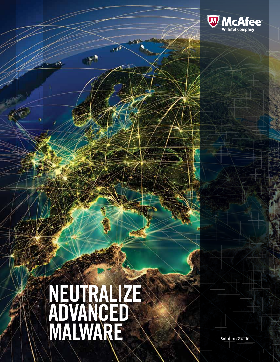

# neutralize Advanced MALWARE Solution Guide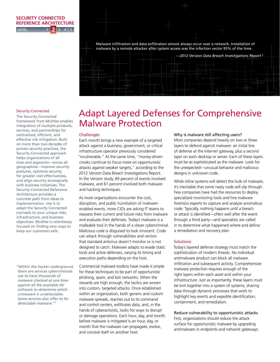# **LEVEL SECURITY CONNECTED REFERENCE ARCHITECTURE 2**

[Malware infiltration and data exfiltration almost always occur over a network. Installation of](http://www.verizonenterprise.com/resources/reports/rp_data-breach-investigations-report-2012_en_xg.pdf)  [malware by a remote attacker after system access was the infection vector 95% of the time.](http://www.verizonenterprise.com/resources/reports/rp_data-breach-investigations-report-2012_en_xg.pdf)



#### Security Connected

centralized, efficient, and<br>
is a set of the set of the set of the set of the set of the set of the set of the set of the set of the set o integration of multiple products, services, and partnerships for centralized, efficient, and<br>effective risk mitigation. Built Security Connected Reference for greater cost effectiveness,<br>and align security strategically and angli secarity strategically<br>with business initiatives. The The Security Connected framework from McAfee enables on more than two decades of proven security practices, the Security Connected approach helps organizations of all sizes and segments—across all geographies—improve security postures, optimize security for greater cost effectiveness, Architecture provides a concrete path from ideas to implementation. Use it to adapt the Security Connected concepts to your unique risks, infrastructure, and business objectives. McAfee is relentlessly focused on finding new ways to keep our customers safe.

*["Within the hacker underground,](http://www.csoonline.com/article/708790/virtual-analysis-misses-a-third-of-malware)  [there are services cybercriminals](http://www.csoonline.com/article/708790/virtual-analysis-misses-a-third-of-malware)  [use to have thousands of](http://www.csoonline.com/article/708790/virtual-analysis-misses-a-third-of-malware)  [malware checked at one time](http://www.csoonline.com/article/708790/virtual-analysis-misses-a-third-of-malware)  [against all the available AV](http://www.csoonline.com/article/708790/virtual-analysis-misses-a-third-of-malware)  [software to determine which](http://www.csoonline.com/article/708790/virtual-analysis-misses-a-third-of-malware)  [crimeware is undetectable.](http://www.csoonline.com/article/708790/virtual-analysis-misses-a-third-of-malware)  [Some services also offer to fix](http://www.csoonline.com/article/708790/virtual-analysis-misses-a-third-of-malware)  [detectable malware."](http://www.csoonline.com/article/708790/virtual-analysis-misses-a-third-of-malware)*<sup>1</sup>

# Adapt Layered Defenses for Comprehensive Malware Protection

#### **Challenges**

Each month brings a new example of a targeted attack against a business, government, or critical infrastructure operator previously considered "invulnerable." At the same time, "money-driven crooks continue to focus more on opportunistic attacks against weaker targets," according to the 2012 Verizon Data Breach Investigations Report. In the Verizon study, 69 percent of events involved malware, and 61 percent involved both malware and hacking techniques.

As more organizations encounter the cost, disruption, and public humiliation of malwareenabled events, more CIOs are asking IT teams to reassess their current and future risks from malware and evaluate their defenses. Today's malware is a malleable tool in the hands of a clever cybercriminal. Malicious code is disguised to look innocent. Code can attack through vulnerabilities and vectors that standard antivirus doesn't monitor or is not designed to catch. Malware adapts to evade static tools and active defenses, varying its timing and execution paths depending on the host.

Commercial malware toolkits have made it simple for these techniques to be part of opportunistic phishing, spam, and bot networks. When the rewards are high enough, the tactics are woven into custom, targeted attacks. Once established within an organization, both generic and custom malware spreads, reaches out to its command and control centers, exfiltrates data, and, in the hands of cyberactivists, looks for ways to disrupt or damage operations. Each hour, day, and month before malware is mitigated is an hour, day, or month that the malware can propagate, evolve, and conceal itself on another host.

#### Why is malware still affecting users?

Most companies depend heavily on two or three layers to defend against malware: an initial line of defense at the Internet gateway, plus a second layer on each desktop or server. Each of these layers must be as sophisticated as the malware. Look for the unexpected—unusual behavior and malicious designs in unknown code.

While inline systems will detect the bulk of malware, it's inevitable that some nasty code will slip through. Few companies have had the resources to deploy specialized monitoring tools and hire malware forensics experts to capture and analyze anomalous code. Typically, nothing happens until a breach or attack is identified—often well after the event through a third party—and specialists are called in to determine what happened where and define a remediation and recovery plan.

#### **Solutions**

Today's layered defense strategy must match the sophistication of modern threats. No individual antimalware product can block all malware infiltration and subsequent activity. Comprehensive malware protection requires enough of the right layers within each asset and within your infrastructure. Just as importantly, these layers must be knit together into a system of systems, sharing data through dynamic processes that work to highlight key events and expedite identification, containment, and remediation.

Reduce vulnerability to opportunistic attacks First, organizations should reduce the attack surface for opportunistic malware by upgrading antimalware in endpoints and network gateways.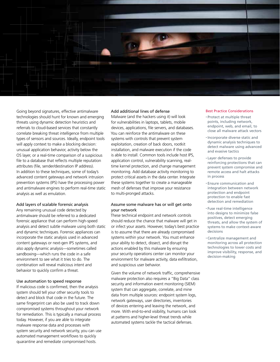

Going beyond signatures, effective antimalware technologies should hunt for known and emerging threats using dynamic detection heuristics and referrals to cloud-based services that constantly correlate breaking threat intelligence from multiple types of sensors and sources. Ideally, endpoint tools will apply context to make a blocking decision: unusual application behavior, activity below the OS layer, or a real-time comparison of a suspicious file to a database that reflects multiple reputation attributes (file, sender/destination IP address). In addition to these techniques, some of today's advanced content gateways and network intrusion prevention systems (IPS) have the processing power and antimalware engines to perform real-time static analysis as well as emulation.

# Add layers of scalable forensic analysis

Any remaining unusual code detected by antimalware should be referred to a dedicated forensic appliance that can perform high-speed analysis and detect subtle malware using both static and dynamic techniques. Forensic appliances can incorporate the static analysis used in advanced content gateways or next-gen IPS systems, and also apply dynamic analysis—sometimes called sandboxing—which runs the code in a safe environment to see what it tries to do. The combination will reveal malicious intent and behavior to quickly confirm a threat.

# Use automation to speed response

If malicious code is confirmed, then the analysis system should tell your other security tools to detect and block that code in the future. The same fingerprint can also be used to track down compromised systems throughout your network for remediation. This is typically a manual process today. However, if you are able to integrate malware response data and processes with system security and network security, you can use automated management workflows to quickly quarantine and remediate compromised hosts.

# Add additional lines of defense

Malware (and the hackers using it) will look for vulnerabilities in laptops, tablets, mobile devices, applications, file servers, and databases. You can reinforce the antimalware on these systems with controls that prevent system exploitation, creation of back doors, rootkit installation, and malware execution if the code is able to install. Common tools include host IPS, application control, vulnerability scanning, realtime kernel protection, and change management monitoring. Add database activity monitoring to protect critical assets in the data center. Integrate these systems together to create a manageable mesh of defenses that improve your resistance to multi-pronged attacks.

# Assume some malware has or will get onto your network

These technical endpoint and network controls should reduce the chance that malware will get in or infect your assets. However, today's best practice is to assume that there are already compromised systems within your network. You must enhance your ability to detect, dissect, and disrupt the actions enabled by this malware by ensuring your security operations center can monitor your environment for malware activity, data exfiltration, and suspicious user behavior.

Given the volume of network traffic, comprehensive malware protection also requires a "Big Data" class security and information event monitoring (SIEM) system that can aggregate, correlate, and mine data from multiple sources: endpoint system logs, network gateways, user directories, inventories of devices entering and leaving the network, and more. With end-to-end visibility, humans can look at patterns and higher-level threat trends while automated systems tackle the tactical defenses.

#### Best Practice Considerations

- • Protect at multiple threat points, including network, endpoint, web, and email, to close all malware attack vectors
- • Incorporate diverse static and dynamic analysis techniques to detect malware using advanced and evasive tactics
- • Layer defenses to provide reinforcing protections that can prevent system compromise and remote access and halt attacks in process
- • Ensure communication and integration between network protection and endpoint protection to enable fast detection and remediation
- • Fuse real-time intelligence into designs to minimize false positives, detect emerging threats, and allow the system of systems to make context-aware decisions
- • Centralize management and monitoring across all protection technologies to lower costs and improve visibility, response, and decision-making